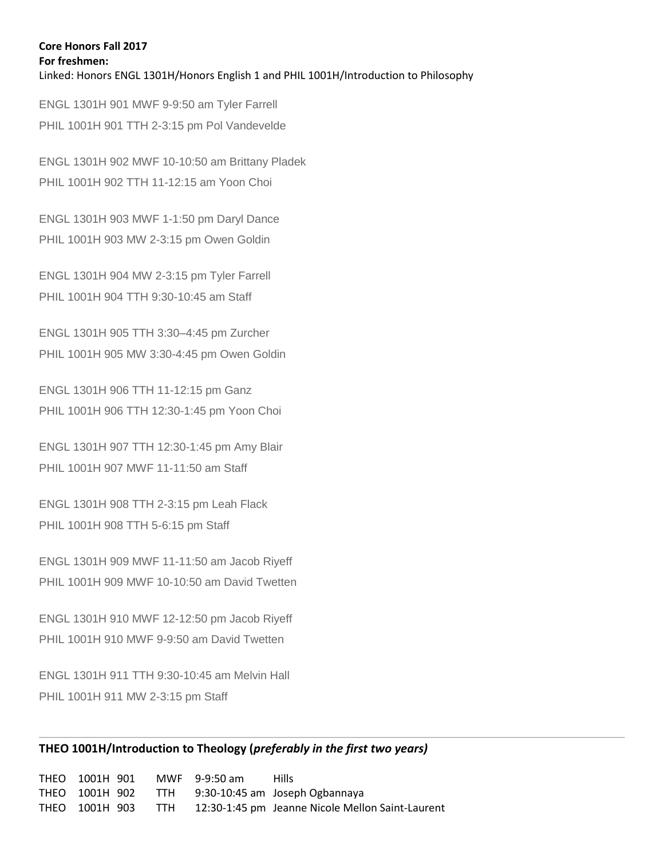## **Core Honors Fall 2017 For freshmen:** Linked: Honors [ENGL](http://www.marquette.edu/english/) 1301H/Honors English 1 and PHIL 1001H/Introduction to Philosophy

ENGL 1301H 901 MWF 9-9:50 am Tyler Farrell PHIL 1001H 901 TTH 2-3:15 pm Pol Vandevelde

ENGL 1301H 902 MWF 10-10:50 am Brittany Pladek PHIL 1001H 902 TTH 11-12:15 am Yoon Choi

ENGL 1301H 903 MWF 1-1:50 pm Daryl Dance PHIL 1001H 903 MW 2-3:15 pm Owen Goldin

ENGL 1301H 904 MW 2-3:15 pm Tyler Farrell PHIL 1001H 904 TTH 9:30-10:45 am Staff

ENGL 1301H 905 TTH 3:30–4:45 pm Zurcher PHIL 1001H 905 MW 3:30-4:45 pm Owen Goldin

ENGL 1301H 906 TTH 11-12:15 pm Ganz PHIL 1001H 906 TTH 12:30-1:45 pm Yoon Choi

ENGL 1301H 907 TTH 12:30-1:45 pm Amy Blair PHIL 1001H 907 MWF 11-11:50 am Staff

ENGL 1301H 908 TTH 2-3:15 pm Leah Flack PHIL 1001H 908 TTH 5-6:15 pm Staff

ENGL 1301H 909 MWF 11-11:50 am Jacob Riyeff PHIL 1001H 909 MWF 10-10:50 am David Twetten

ENGL 1301H 910 MWF 12-12:50 pm Jacob Riyeff PHIL 1001H 910 MWF 9-9:50 am David Twetten

ENGL 1301H 911 TTH 9:30-10:45 am Melvin Hall PHIL 1001H 911 MW 2-3:15 pm Staff

# **THEO 1001H/Introduction to Theology (***preferably in the first two years)*

THEO 1001H 901 MWF 9-9:50 am Hills THEO 1001H 902 TTH 9:30-10:45 am Joseph Ogbannaya THEO 1001H 903 TTH 12:30-1:45 pm Jeanne Nicole Mellon Saint-Laurent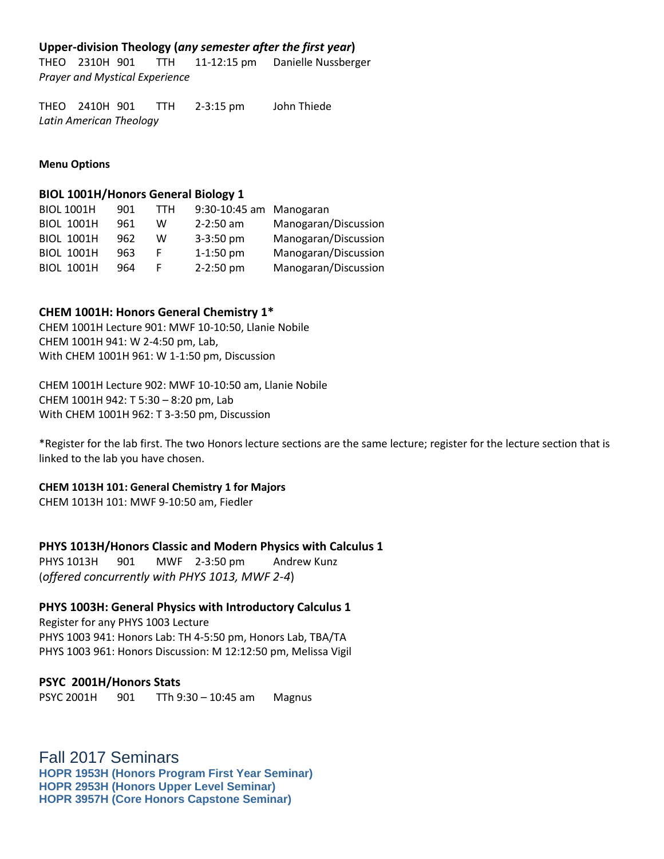## **Upper-division Theology (***any semester after the first year***)**

THEO 2310H 901 TTH 11-12:15 pm Danielle Nussberger *Prayer and Mystical Experience*

THEO 2410H 901 TTH 2-3:15 pm John Thiede *Latin American Theology*

**Menu Options**

#### **BIOL 1001H/Honors General Biology 1**

| 901                                                                                                   | TTH | 9:30-10:45 am Manogaran |                      |
|-------------------------------------------------------------------------------------------------------|-----|-------------------------|----------------------|
| 961                                                                                                   | w   | $2 - 2:50$ am           | Manogaran/Discussion |
| 962                                                                                                   | W   | $3 - 3:50$ pm           | Manogaran/Discussion |
| 963                                                                                                   | F.  | $1-1:50$ pm             | Manogaran/Discussion |
| 964                                                                                                   | F.  | 2-2:50 pm               | Manogaran/Discussion |
| <b>BIOL 1001H</b><br><b>BIOL 1001H</b><br><b>BIOL 1001H</b><br><b>BIOL 1001H</b><br><b>BIOL 1001H</b> |     |                         |                      |

#### **CHEM 1001H: Honors General Chemistry 1\***

CHEM 1001H Lecture 901: MWF 10-10:50, Llanie Nobile CHEM 1001H 941: W 2-4:50 pm, Lab, With CHEM 1001H 961: W 1-1:50 pm, Discussion

CHEM 1001H Lecture 902: MWF 10-10:50 am, Llanie Nobile CHEM 1001H 942: T 5:30 – 8:20 pm, Lab With CHEM 1001H 962: T 3-3:50 pm, Discussion

\*Register for the lab first. The two Honors lecture sections are the same lecture; register for the lecture section that is linked to the lab you have chosen.

#### **CHEM 1013H 101: General Chemistry 1 for Majors**

CHEM 1013H 101: MWF 9-10:50 am, Fiedler

#### **PHYS 1013H/Honors Classic and Modern Physics with Calculus 1**

PHYS 1013H 901 MWF 2-3:50 pm Andrew Kunz (*offered concurrently with PHYS 1013, MWF 2-4*)

#### **PHYS 1003H: General Physics with Introductory Calculus 1**

Register for any PHYS 1003 Lecture PHYS 1003 941: Honors Lab: TH 4-5:50 pm, Honors Lab, TBA/TA PHYS 1003 961: Honors Discussion: M 12:12:50 pm, Melissa Vigil

#### **PSYC 2001H/Honors Stats**

PSYC 2001H 901 TTh 9:30 – 10:45 am Magnus

Fall 2017 Seminars **HOPR 1953H (Honors Program First Year Seminar) HOPR 2953H (Honors Upper Level Seminar) HOPR 3957H (Core Honors Capstone Seminar)**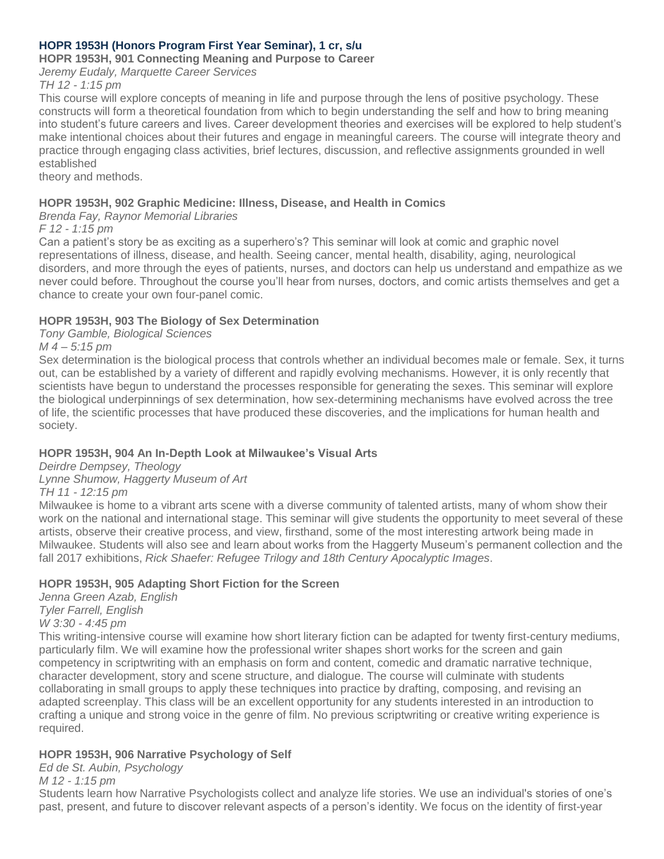# **HOPR 1953H (Honors Program First Year Seminar), 1 cr, s/u**

## **HOPR 1953H, 901 Connecting Meaning and Purpose to Career**

*Jeremy Eudaly, Marquette Career Services TH 12 - 1:15 pm*

This course will explore concepts of meaning in life and purpose through the lens of positive psychology. These constructs will form a theoretical foundation from which to begin understanding the self and how to bring meaning into student's future careers and lives. Career development theories and exercises will be explored to help student's make intentional choices about their futures and engage in meaningful careers. The course will integrate theory and practice through engaging class activities, brief lectures, discussion, and reflective assignments grounded in well established

theory and methods.

# **HOPR 1953H, 902 Graphic Medicine: Illness, Disease, and Health in Comics**

## *Brenda Fay, Raynor Memorial Libraries*

*F 12 - 1:15 pm*

Can a patient's story be as exciting as a superhero's? This seminar will look at comic and graphic novel representations of illness, disease, and health. Seeing cancer, mental health, disability, aging, neurological disorders, and more through the eyes of patients, nurses, and doctors can help us understand and empathize as we never could before. Throughout the course you'll hear from nurses, doctors, and comic artists themselves and get a chance to create your own four-panel comic.

## **HOPR 1953H, 903 The Biology of Sex Determination**

*Tony Gamble, Biological Sciences*

*M 4 – 5:15 pm*

Sex determination is the biological process that controls whether an individual becomes male or female. Sex, it turns out, can be established by a variety of different and rapidly evolving mechanisms. However, it is only recently that scientists have begun to understand the processes responsible for generating the sexes. This seminar will explore the biological underpinnings of sex determination, how sex-determining mechanisms have evolved across the tree of life, the scientific processes that have produced these discoveries, and the implications for human health and society.

# **HOPR 1953H, 904 An In-Depth Look at Milwaukee's Visual Arts**

*Deirdre Dempsey, Theology*

*Lynne Shumow, Haggerty Museum of Art*

*TH 11 - 12:15 pm*

Milwaukee is home to a vibrant arts scene with a diverse community of talented artists, many of whom show their work on the national and international stage. This seminar will give students the opportunity to meet several of these artists, observe their creative process, and view, firsthand, some of the most interesting artwork being made in Milwaukee. Students will also see and learn about works from the Haggerty Museum's permanent collection and the fall 2017 exhibitions, *Rick Shaefer: Refugee Trilogy and 18th Century Apocalyptic Images*.

# **HOPR 1953H, 905 Adapting Short Fiction for the Screen**

*Jenna Green Azab, English Tyler Farrell, English W 3:30 - 4:45 pm*

This writing-intensive course will examine how short literary fiction can be adapted for twenty first-century mediums, particularly film. We will examine how the professional writer shapes short works for the screen and gain competency in scriptwriting with an emphasis on form and content, comedic and dramatic narrative technique, character development, story and scene structure, and dialogue. The course will culminate with students collaborating in small groups to apply these techniques into practice by drafting, composing, and revising an adapted screenplay. This class will be an excellent opportunity for any students interested in an introduction to crafting a unique and strong voice in the genre of film. No previous scriptwriting or creative writing experience is required.

# **HOPR 1953H, 906 Narrative Psychology of Self**

*Ed de St. Aubin, Psychology*

*M 12 - 1:15 pm*

Students learn how Narrative Psychologists collect and analyze life stories. We use an individual's stories of one's past, present, and future to discover relevant aspects of a person's identity. We focus on the identity of first-year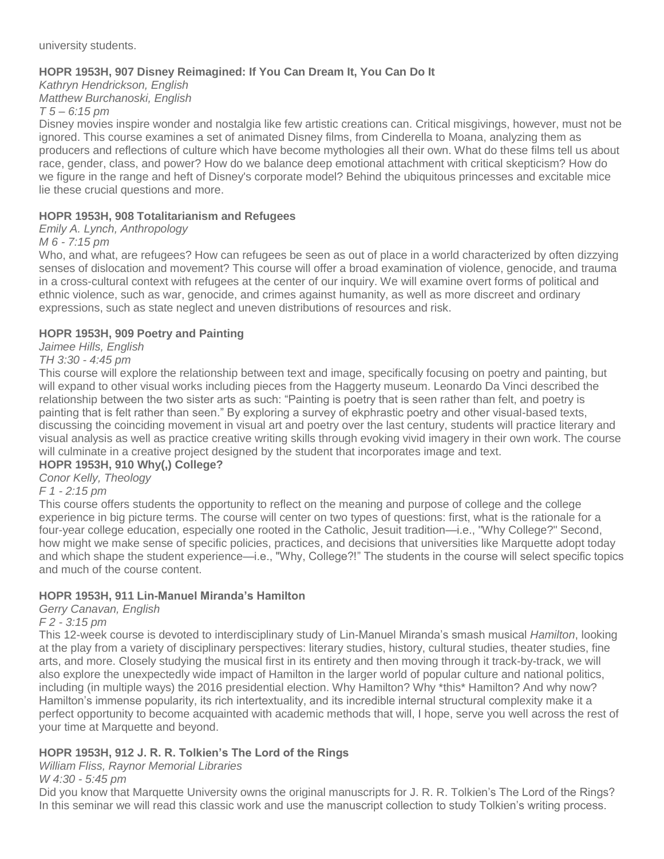university students.

# **HOPR 1953H, 907 Disney Reimagined: If You Can Dream It, You Can Do It**

*Kathryn Hendrickson, English Matthew Burchanoski, English*

*T 5 – 6:15 pm*

Disney movies inspire wonder and nostalgia like few artistic creations can. Critical misgivings, however, must not be ignored. This course examines a set of animated Disney films, from Cinderella to Moana, analyzing them as producers and reflections of culture which have become mythologies all their own. What do these films tell us about race, gender, class, and power? How do we balance deep emotional attachment with critical skepticism? How do we figure in the range and heft of Disney's corporate model? Behind the ubiquitous princesses and excitable mice lie these crucial questions and more.

# **HOPR 1953H, 908 Totalitarianism and Refugees**

*Emily A. Lynch, Anthropology*

*M 6 - 7:15 pm*

Who, and what, are refugees? How can refugees be seen as out of place in a world characterized by often dizzying senses of dislocation and movement? This course will offer a broad examination of violence, genocide, and trauma in a cross-cultural context with refugees at the center of our inquiry. We will examine overt forms of political and ethnic violence, such as war, genocide, and crimes against humanity, as well as more discreet and ordinary expressions, such as state neglect and uneven distributions of resources and risk.

# **HOPR 1953H, 909 Poetry and Painting**

*Jaimee Hills, English*

*TH 3:30 - 4:45 pm*

This course will explore the relationship between text and image, specifically focusing on poetry and painting, but will expand to other visual works including pieces from the Haggerty museum. Leonardo Da Vinci described the relationship between the two sister arts as such: "Painting is poetry that is seen rather than felt, and poetry is painting that is felt rather than seen." By exploring a survey of ekphrastic poetry and other visual-based texts, discussing the coinciding movement in visual art and poetry over the last century, students will practice literary and visual analysis as well as practice creative writing skills through evoking vivid imagery in their own work. The course will culminate in a creative project designed by the student that incorporates image and text.

# **HOPR 1953H, 910 Why(,) College?**

*Conor Kelly, Theology*

# *F 1 - 2:15 pm*

This course offers students the opportunity to reflect on the meaning and purpose of college and the college experience in big picture terms. The course will center on two types of questions: first, what is the rationale for a four-year college education, especially one rooted in the Catholic, Jesuit tradition—i.e., "Why College?" Second, how might we make sense of specific policies, practices, and decisions that universities like Marquette adopt today and which shape the student experience—i.e., "Why, College?!" The students in the course will select specific topics and much of the course content.

# **HOPR 1953H, 911 Lin-Manuel Miranda's Hamilton**

*Gerry Canavan, English*

## *F 2 - 3:15 pm*

This 12-week course is devoted to interdisciplinary study of Lin-Manuel Miranda's smash musical *Hamilton*, looking at the play from a variety of disciplinary perspectives: literary studies, history, cultural studies, theater studies, fine arts, and more. Closely studying the musical first in its entirety and then moving through it track-by-track, we will also explore the unexpectedly wide impact of Hamilton in the larger world of popular culture and national politics, including (in multiple ways) the 2016 presidential election. Why Hamilton? Why \*this\* Hamilton? And why now? Hamilton's immense popularity, its rich intertextuality, and its incredible internal structural complexity make it a perfect opportunity to become acquainted with academic methods that will, I hope, serve you well across the rest of your time at Marquette and beyond.

# **HOPR 1953H, 912 J. R. R. Tolkien's The Lord of the Rings**

# *William Fliss, Raynor Memorial Libraries*

*W 4:30 - 5:45 pm*

Did you know that Marquette University owns the original manuscripts for J. R. R. Tolkien's The Lord of the Rings? In this seminar we will read this classic work and use the manuscript collection to study Tolkien's writing process.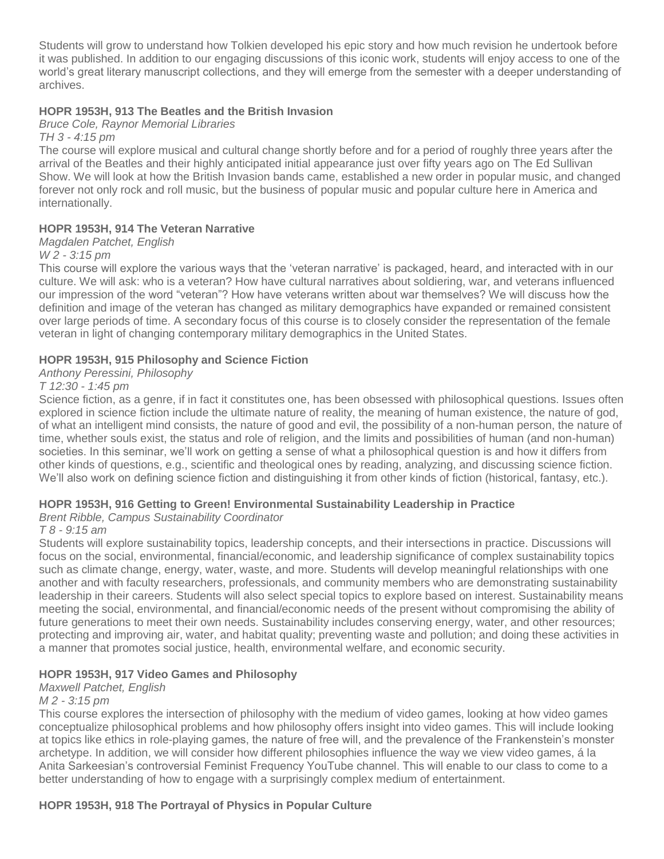Students will grow to understand how Tolkien developed his epic story and how much revision he undertook before it was published. In addition to our engaging discussions of this iconic work, students will enjoy access to one of the world's great literary manuscript collections, and they will emerge from the semester with a deeper understanding of archives.

# **HOPR 1953H, 913 The Beatles and the British Invasion**

*Bruce Cole, Raynor Memorial Libraries*

*TH 3 - 4:15 pm*

The course will explore musical and cultural change shortly before and for a period of roughly three years after the arrival of the Beatles and their highly anticipated initial appearance just over fifty years ago on The Ed Sullivan Show. We will look at how the British Invasion bands came, established a new order in popular music, and changed forever not only rock and roll music, but the business of popular music and popular culture here in America and internationally.

## **HOPR 1953H, 914 The Veteran Narrative**

#### *Magdalen Patchet, English*

*W 2 - 3:15 pm*

This course will explore the various ways that the 'veteran narrative' is packaged, heard, and interacted with in our culture. We will ask: who is a veteran? How have cultural narratives about soldiering, war, and veterans influenced our impression of the word "veteran"? How have veterans written about war themselves? We will discuss how the definition and image of the veteran has changed as military demographics have expanded or remained consistent over large periods of time. A secondary focus of this course is to closely consider the representation of the female veteran in light of changing contemporary military demographics in the United States.

## **HOPR 1953H, 915 Philosophy and Science Fiction**

## *Anthony Peressini, Philosophy*

#### *T 12:30 - 1:45 pm*

Science fiction, as a genre, if in fact it constitutes one, has been obsessed with philosophical questions. Issues often explored in science fiction include the ultimate nature of reality, the meaning of human existence, the nature of god, of what an intelligent mind consists, the nature of good and evil, the possibility of a non-human person, the nature of time, whether souls exist, the status and role of religion, and the limits and possibilities of human (and non-human) societies. In this seminar, we'll work on getting a sense of what a philosophical question is and how it differs from other kinds of questions, e.g., scientific and theological ones by reading, analyzing, and discussing science fiction. We'll also work on defining science fiction and distinguishing it from other kinds of fiction (historical, fantasy, etc.).

## **HOPR 1953H, 916 Getting to Green! Environmental Sustainability Leadership in Practice**

## *Brent Ribble, Campus Sustainability Coordinator*

## *T 8 - 9:15 am*

Students will explore sustainability topics, leadership concepts, and their intersections in practice. Discussions will focus on the social, environmental, financial/economic, and leadership significance of complex sustainability topics such as climate change, energy, water, waste, and more. Students will develop meaningful relationships with one another and with faculty researchers, professionals, and community members who are demonstrating sustainability leadership in their careers. Students will also select special topics to explore based on interest. Sustainability means meeting the social, environmental, and financial/economic needs of the present without compromising the ability of future generations to meet their own needs. Sustainability includes conserving energy, water, and other resources; protecting and improving air, water, and habitat quality; preventing waste and pollution; and doing these activities in a manner that promotes social justice, health, environmental welfare, and economic security.

## **HOPR 1953H, 917 Video Games and Philosophy**

#### *Maxwell Patchet, English*

#### *M 2 - 3:15 pm*

This course explores the intersection of philosophy with the medium of video games, looking at how video games conceptualize philosophical problems and how philosophy offers insight into video games. This will include looking at topics like ethics in role-playing games, the nature of free will, and the prevalence of the Frankenstein's monster archetype. In addition, we will consider how different philosophies influence the way we view video games, á la Anita Sarkeesian's controversial Feminist Frequency YouTube channel. This will enable to our class to come to a better understanding of how to engage with a surprisingly complex medium of entertainment.

## **HOPR 1953H, 918 The Portrayal of Physics in Popular Culture**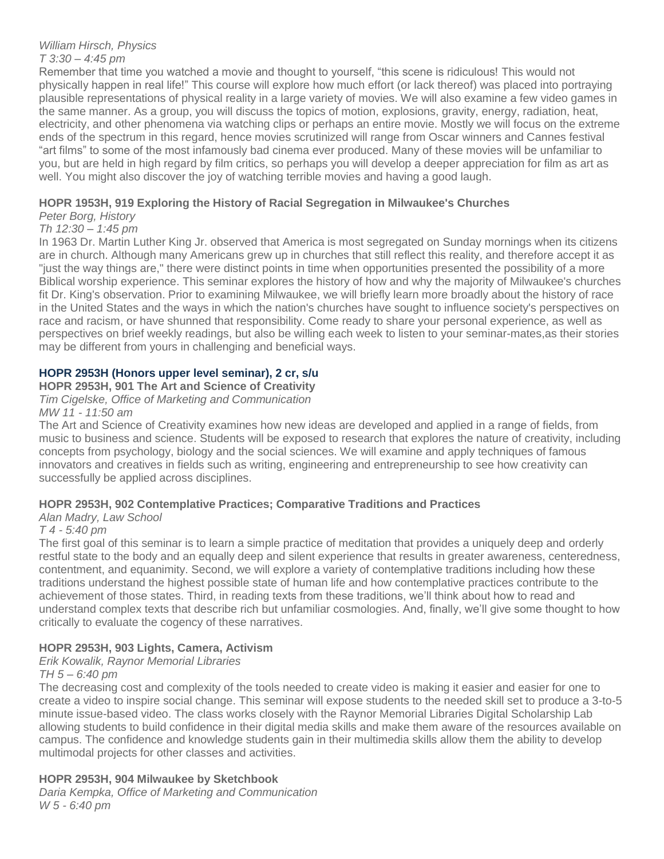## *William Hirsch, Physics T 3:30 – 4:45 pm*

Remember that time you watched a movie and thought to yourself, "this scene is ridiculous! This would not physically happen in real life!" This course will explore how much effort (or lack thereof) was placed into portraying plausible representations of physical reality in a large variety of movies. We will also examine a few video games in the same manner. As a group, you will discuss the topics of motion, explosions, gravity, energy, radiation, heat, electricity, and other phenomena via watching clips or perhaps an entire movie. Mostly we will focus on the extreme ends of the spectrum in this regard, hence movies scrutinized will range from Oscar winners and Cannes festival "art films" to some of the most infamously bad cinema ever produced. Many of these movies will be unfamiliar to you, but are held in high regard by film critics, so perhaps you will develop a deeper appreciation for film as art as well. You might also discover the joy of watching terrible movies and having a good laugh.

# **HOPR 1953H, 919 Exploring the History of Racial Segregation in Milwaukee's Churches**

# *Peter Borg, History*

# *Th 12:30 – 1:45 pm*

In 1963 Dr. Martin Luther King Jr. observed that America is most segregated on Sunday mornings when its citizens are in church. Although many Americans grew up in churches that still reflect this reality, and therefore accept it as "just the way things are," there were distinct points in time when opportunities presented the possibility of a more Biblical worship experience. This seminar explores the history of how and why the majority of Milwaukee's churches fit Dr. King's observation. Prior to examining Milwaukee, we will briefly learn more broadly about the history of race in the United States and the ways in which the nation's churches have sought to influence society's perspectives on race and racism, or have shunned that responsibility. Come ready to share your personal experience, as well as perspectives on brief weekly readings, but also be willing each week to listen to your seminar-mates,as their stories may be different from yours in challenging and beneficial ways.

# **HOPR 2953H (Honors upper level seminar), 2 cr, s/u**

#### **HOPR 2953H, 901 The Art and Science of Creativity**

*Tim Cigelske, Office of Marketing and Communication MW 11 - 11:50 am*

The Art and Science of Creativity examines how new ideas are developed and applied in a range of fields, from music to business and science. Students will be exposed to research that explores the nature of creativity, including concepts from psychology, biology and the social sciences. We will examine and apply techniques of famous innovators and creatives in fields such as writing, engineering and entrepreneurship to see how creativity can successfully be applied across disciplines.

# **HOPR 2953H, 902 Contemplative Practices; Comparative Traditions and Practices**

# *Alan Madry, Law School*

# *T 4 - 5:40 pm*

The first goal of this seminar is to learn a simple practice of meditation that provides a uniquely deep and orderly restful state to the body and an equally deep and silent experience that results in greater awareness, centeredness, contentment, and equanimity. Second, we will explore a variety of contemplative traditions including how these traditions understand the highest possible state of human life and how contemplative practices contribute to the achievement of those states. Third, in reading texts from these traditions, we'll think about how to read and understand complex texts that describe rich but unfamiliar cosmologies. And, finally, we'll give some thought to how critically to evaluate the cogency of these narratives.

# **HOPR 2953H, 903 Lights, Camera, Activism**

# *Erik Kowalik, Raynor Memorial Libraries*

## *TH 5 – 6:40 pm*

The decreasing cost and complexity of the tools needed to create video is making it easier and easier for one to create a video to inspire social change. This seminar will expose students to the needed skill set to produce a 3-to-5 minute issue-based video. The class works closely with the Raynor Memorial Libraries Digital Scholarship Lab allowing students to build confidence in their digital media skills and make them aware of the resources available on campus. The confidence and knowledge students gain in their multimedia skills allow them the ability to develop multimodal projects for other classes and activities.

# **HOPR 2953H, 904 Milwaukee by Sketchbook**

*Daria Kempka, Office of Marketing and Communication W 5 - 6:40 pm*